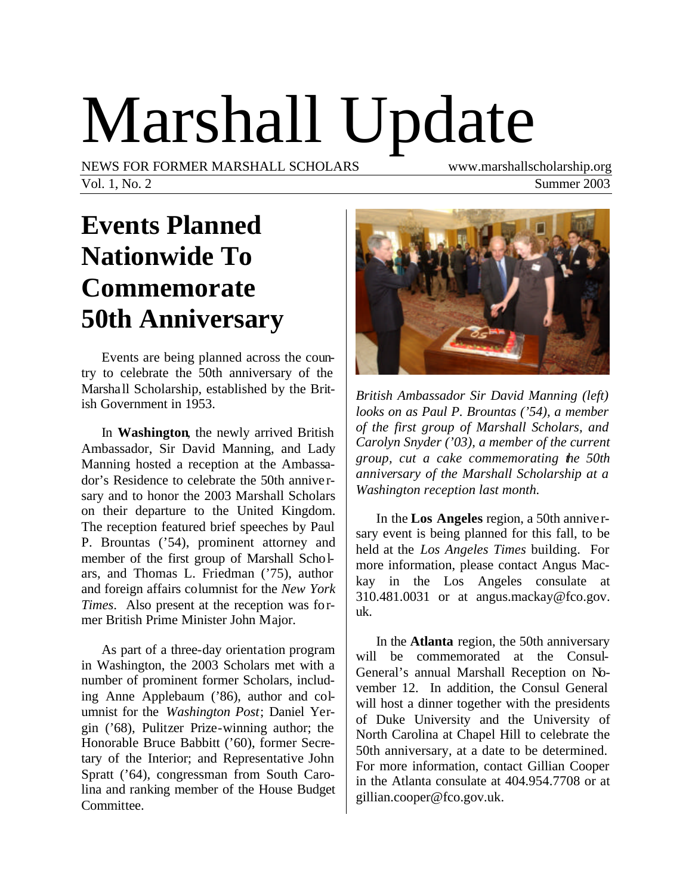## Marshall Update

NEWS FOR FORMER MARSHALL SCHOLARS www.marshallscholarship.org Vol. 1, No. 2 Summer 2003

## **Events Planned Nationwide To Commemorate 50th Anniversary**

Events are being planned across the country to celebrate the 50th anniversary of the Marshall Scholarship, established by the British Government in 1953.

In **Washington**, the newly arrived British Ambassador, Sir David Manning, and Lady Manning hosted a reception at the Ambassador's Residence to celebrate the 50th annive rsary and to honor the 2003 Marshall Scholars on their departure to the United Kingdom. The reception featured brief speeches by Paul P. Brountas ('54), prominent attorney and member of the first group of Marshall Scholars, and Thomas L. Friedman ('75), author and foreign affairs columnist for the *New York Times*. Also present at the reception was former British Prime Minister John Major.

As part of a three-day orientation program in Washington, the 2003 Scholars met with a number of prominent former Scholars, including Anne Applebaum ('86), author and columnist for the *Washington Post*; Daniel Yergin ('68), Pulitzer Prize-winning author; the Honorable Bruce Babbitt ('60), former Secretary of the Interior; and Representative John Spratt ('64), congressman from South Carolina and ranking member of the House Budget Committee.



*British Ambassador Sir David Manning (left) looks on as Paul P. Brountas ('54), a member of the first group of Marshall Scholars, and Carolyn Snyder ('03), a member of the current group, cut a cake commemorating the 50th anniversary of the Marshall Scholarship at a Washington reception last month.*

In the **Los Angeles** region, a 50th annive rsary event is being planned for this fall, to be held at the *Los Angeles Times* building. For more information, please contact Angus Mackay in the Los Angeles consulate at 310.481.0031 or at angus.mackay@fco.gov. uk.

In the **Atlanta** region, the 50th anniversary will be commemorated at the Consul-General's annual Marshall Reception on November 12. In addition, the Consul General will host a dinner together with the presidents of Duke University and the University of North Carolina at Chapel Hill to celebrate the 50th anniversary, at a date to be determined. For more information, contact Gillian Cooper in the Atlanta consulate at 404.954.7708 or at gillian.cooper@fco.gov.uk.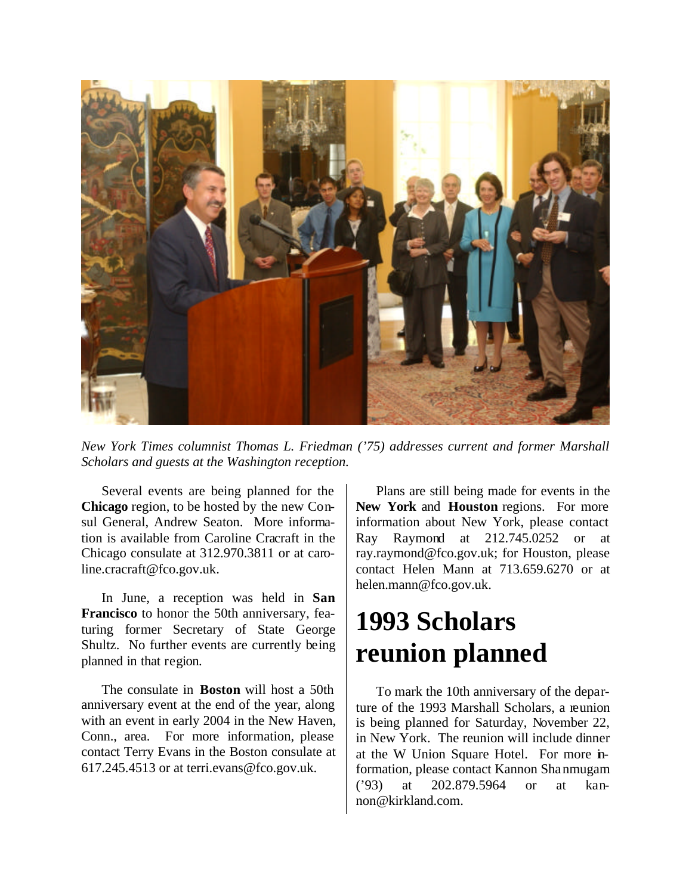

*New York Times columnist Thomas L. Friedman ('75) addresses current and former Marshall Scholars and guests at the Washington reception.*

Several events are being planned for the **Chicago** region, to be hosted by the new Consul General, Andrew Seaton. More information is available from Caroline Cracraft in the Chicago consulate at 312.970.3811 or at caroline.cracraft@fco.gov.uk.

In June, a reception was held in **San Francisco** to honor the 50th anniversary, featuring former Secretary of State George Shultz. No further events are currently being planned in that region.

The consulate in **Boston** will host a 50th anniversary event at the end of the year, along with an event in early 2004 in the New Haven, Conn., area. For more information, please contact Terry Evans in the Boston consulate at 617.245.4513 or at terri.evans@fco.gov.uk.

Plans are still being made for events in the **New York** and **Houston** regions. For more information about New York, please contact Ray Raymond at 212.745.0252 or at ray.raymond@fco.gov.uk; for Houston, please contact Helen Mann at 713.659.6270 or at helen.mann@fco.gov.uk.

## **1993 Scholars reunion planned**

To mark the 10th anniversary of the departure of the 1993 Marshall Scholars, a reunion is being planned for Saturday, November 22, in New York. The reunion will include dinner at the W Union Square Hotel. For more information, please contact Kannon Shanmugam ('93) at 202.879.5964 or at kannon@kirkland.com.